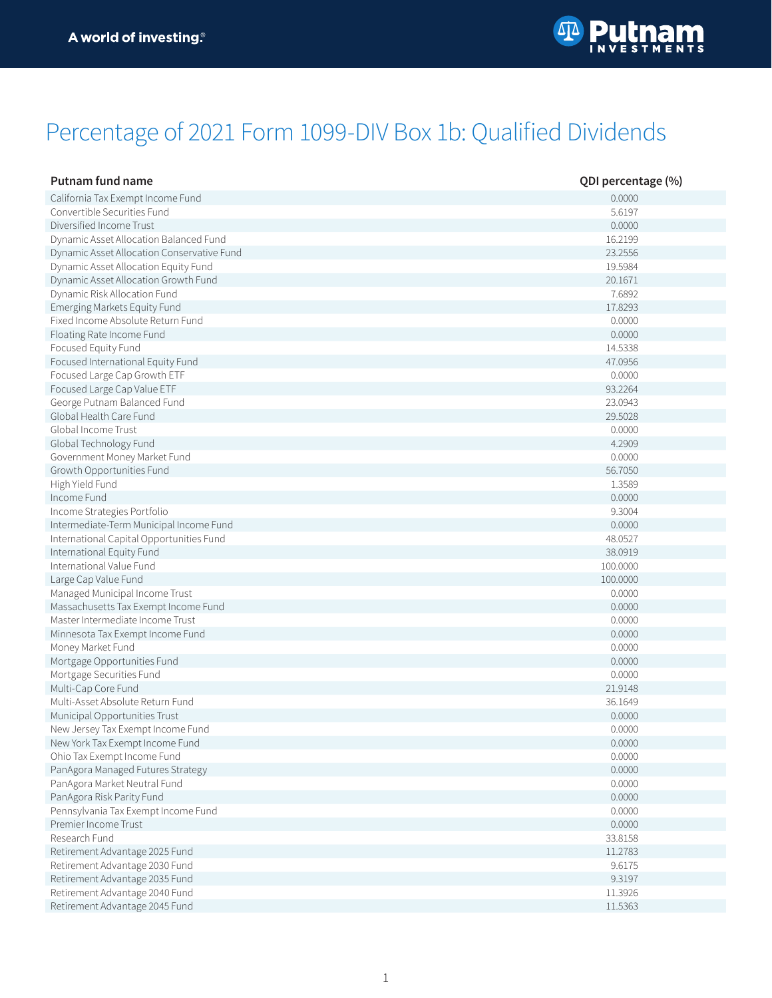## Percentage of 2021 Form 1099-DIV Box 1b: Qualified Dividends

| <b>Putnam fund name</b>                    | QDI percentage (%) |
|--------------------------------------------|--------------------|
| California Tax Exempt Income Fund          | 0.0000             |
| Convertible Securities Fund                | 5.6197             |
| Diversified Income Trust                   | 0.0000             |
| Dynamic Asset Allocation Balanced Fund     | 16.2199            |
| Dynamic Asset Allocation Conservative Fund | 23.2556            |
| Dynamic Asset Allocation Equity Fund       | 19.5984            |
| Dynamic Asset Allocation Growth Fund       | 20.1671            |
| Dynamic Risk Allocation Fund               | 7.6892             |
| Emerging Markets Equity Fund               | 17.8293            |
| Fixed Income Absolute Return Fund          | 0.0000             |
| Floating Rate Income Fund                  | 0.0000             |
|                                            | 14.5338            |
| Focused Equity Fund                        | 47.0956            |
| Focused International Equity Fund          |                    |
| Focused Large Cap Growth ETF               | 0.0000             |
| Focused Large Cap Value ETF                | 93.2264            |
| George Putnam Balanced Fund                | 23.0943            |
| Global Health Care Fund                    | 29.5028            |
| Global Income Trust                        | 0.0000             |
| Global Technology Fund                     | 4.2909             |
| Government Money Market Fund               | 0.0000             |
| Growth Opportunities Fund                  | 56.7050            |
| High Yield Fund                            | 1.3589             |
| Income Fund                                | 0.0000             |
| Income Strategies Portfolio                | 9.3004             |
| Intermediate-Term Municipal Income Fund    | 0.0000             |
| International Capital Opportunities Fund   | 48.0527            |
| International Equity Fund                  | 38.0919            |
| International Value Fund                   | 100.0000           |
| Large Cap Value Fund                       | 100.0000           |
| Managed Municipal Income Trust             | 0.0000             |
| Massachusetts Tax Exempt Income Fund       | 0.0000             |
| Master Intermediate Income Trust           | 0.0000             |
| Minnesota Tax Exempt Income Fund           | 0.0000             |
| Money Market Fund                          | 0.0000             |
| Mortgage Opportunities Fund                | 0.0000             |
| Mortgage Securities Fund                   | 0.0000             |
| Multi-Cap Core Fund                        | 21.9148            |
| Multi-Asset Absolute Return Fund           | 36.1649            |
| Municipal Opportunities Trust              | 0.0000             |
| New Jersey Tax Exempt Income Fund          | 0.0000             |
| New York Tax Exempt Income Fund            | 0.0000             |
| Ohio Tax Exempt Income Fund                | 0.0000             |
| PanAgora Managed Futures Strategy          | 0.0000             |
| PanAgora Market Neutral Fund               | 0.0000             |
| PanAgora Risk Parity Fund                  | 0.0000             |
| Pennsylvania Tax Exempt Income Fund        | 0.0000             |
| Premier Income Trust                       | 0.0000             |
| Research Fund                              | 33.8158            |
| Retirement Advantage 2025 Fund             | 11.2783            |
|                                            |                    |
| Retirement Advantage 2030 Fund             | 9.6175             |
| Retirement Advantage 2035 Fund             | 9.3197             |
| Retirement Advantage 2040 Fund             | 11.3926            |
| Retirement Advantage 2045 Fund             | 11.5363            |